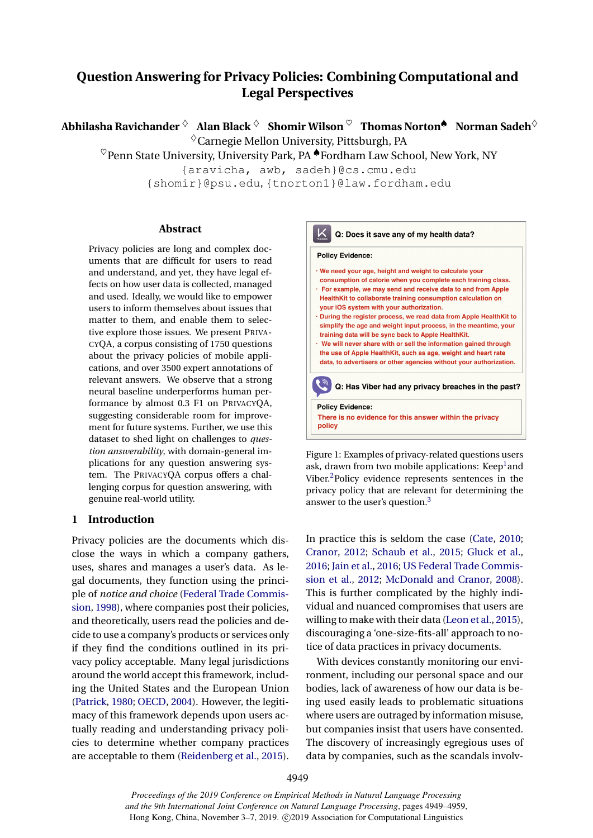# **Question Answering for Privacy Policies: Combining Computational and Legal Perspectives**

**Abhilasha Ravichander** ♦ **Alan Black** ♦ **Shomir Wilson** ♥ **Thomas Norton**♠ **Norman Sadeh**♦  $\Diamond$  Carnegie Mellon University, Pittsburgh, PA

 $\heartsuit$ Penn State University, University Park, PA  $\clubsuit$ Fordham Law School, New York, NY

{aravicha, awb, sadeh}@cs.cmu.edu

{shomir}@psu.edu, {tnorton1}@law.fordham.edu

#### **Abstract**

Privacy policies are long and complex documents that are difficult for users to read and understand, and yet, they have legal effects on how user data is collected, managed and used. Ideally, we would like to empower users to inform themselves about issues that matter to them, and enable them to selective explore those issues. We present PRIVA-CYQA, a corpus consisting of 1750 questions about the privacy policies of mobile applications, and over 3500 expert annotations of relevant answers. We observe that a strong neural baseline underperforms human performance by almost 0.3 F1 on PRIVACYQA, suggesting considerable room for improvement for future systems. Further, we use this dataset to shed light on challenges to *question answerability*, with domain-general implications for any question answering system. The PRIVACYQA corpus offers a challenging corpus for question answering, with genuine real-world utility.

### **1 Introduction**

Privacy policies are the documents which disclose the ways in which a company gathers, uses, shares and manages a user's data. As legal documents, they function using the principle of *notice and choice* [\(Federal Trade Commis](#page-8-0)[sion,](#page-8-0) [1998\)](#page-8-0), where companies post their policies, and theoretically, users read the policies and decide to use a company's products or services only if they find the conditions outlined in its privacy policy acceptable. Many legal jurisdictions around the world accept this framework, including the United States and the European Union [\(Patrick,](#page-10-0) [1980;](#page-10-0) [OECD,](#page-9-0) [2004\)](#page-9-0). However, the legitimacy of this framework depends upon users actually reading and understanding privacy policies to determine whether company practices are acceptable to them [\(Reidenberg et al.,](#page-10-1) [2015\)](#page-10-1).



Figure 1: Examples of privacy-related questions users ask, drawn from two mobile applications: Keep<sup>1</sup> and Viber.<sup>2</sup>Policy evidence represents sentences in the privacy policy that are relevant for determining the answer to the user's question.<sup>3</sup>

In practice this is seldom the case [\(Cate,](#page-8-1) [2010;](#page-8-1) [Cranor,](#page-8-2) [2012;](#page-8-2) [Schaub et al.,](#page-10-2) [2015;](#page-10-2) [Gluck et al.,](#page-8-3) [2016;](#page-8-3) [Jain et al.,](#page-9-1) [2016;](#page-9-1) [US Federal Trade Commis](#page-10-3)[sion et al.,](#page-10-3) [2012;](#page-10-3) [McDonald and Cranor,](#page-9-2) [2008\)](#page-9-2). This is further complicated by the highly individual and nuanced compromises that users are willing to make with their data [\(Leon et al.,](#page-9-3) [2015\)](#page-9-3), discouraging a 'one-size-fits-all' approach to notice of data practices in privacy documents.

With devices constantly monitoring our environment, including our personal space and our bodies, lack of awareness of how our data is being used easily leads to problematic situations where users are outraged by information misuse, but companies insist that users have consented. The discovery of increasingly egregious uses of data by companies, such as the scandals involv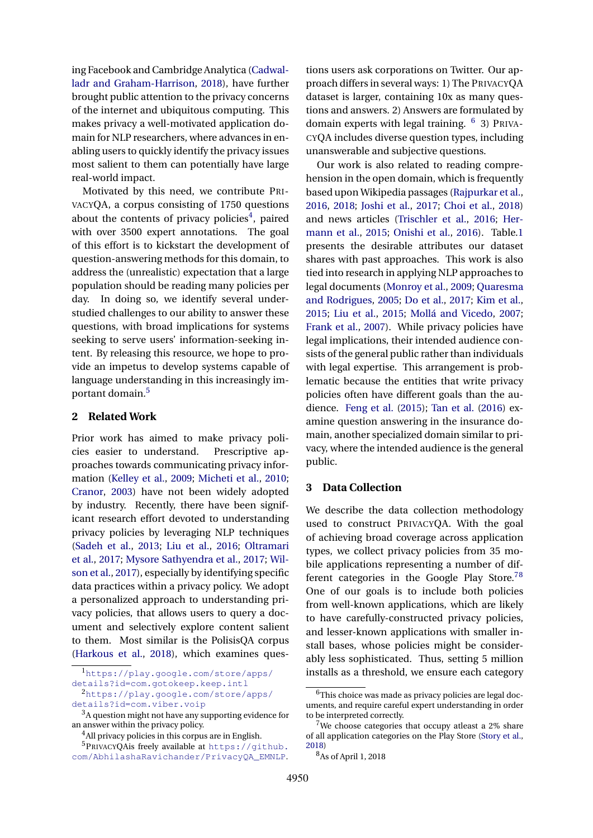ing Facebook and Cambridge Analytica [\(Cadwal](#page-8-4)[ladr and Graham-Harrison,](#page-8-4) [2018\)](#page-8-4), have further brought public attention to the privacy concerns of the internet and ubiquitous computing. This makes privacy a well-motivated application domain for NLP researchers, where advances in enabling users to quickly identify the privacy issues most salient to them can potentially have large real-world impact.

Motivated by this need, we contribute PRI-VACYQA, a corpus consisting of 1750 questions about the contents of privacy policies<sup>[4](#page-1-0)</sup>, paired with over 3500 expert annotations. The goal of this effort is to kickstart the development of question-answering methods for this domain, to address the (unrealistic) expectation that a large population should be reading many policies per day. In doing so, we identify several understudied challenges to our ability to answer these questions, with broad implications for systems seeking to serve users' information-seeking intent. By releasing this resource, we hope to provide an impetus to develop systems capable of language understanding in this increasingly important domain.[5](#page-1-1)

# **2 Related Work**

Prior work has aimed to make privacy policies easier to understand. Prescriptive approaches towards communicating privacy information [\(Kelley et al.,](#page-9-4) [2009;](#page-9-4) [Micheti et al.,](#page-9-5) [2010;](#page-9-5) [Cranor,](#page-8-5) [2003\)](#page-8-5) have not been widely adopted by industry. Recently, there have been significant research effort devoted to understanding privacy policies by leveraging NLP techniques [\(Sadeh et al.,](#page-10-4) [2013;](#page-10-4) [Liu et al.,](#page-9-6) [2016;](#page-9-6) [Oltramari](#page-9-7) [et al.,](#page-9-7) [2017;](#page-9-7) [Mysore Sathyendra et al.,](#page-9-8) [2017;](#page-9-8) [Wil](#page-10-5)[son et al.,](#page-10-5) [2017\)](#page-10-5), especially by identifying specific data practices within a privacy policy. We adopt a personalized approach to understanding privacy policies, that allows users to query a document and selectively explore content salient to them. Most similar is the PolisisQA corpus [\(Harkous et al.,](#page-9-9) [2018\)](#page-9-9), which examines questions users ask corporations on Twitter. Our approach differs in several ways: 1) The PRIVACYQA dataset is larger, containing 10x as many questions and answers. 2) Answers are formulated by domain experts with legal training. <sup>[6](#page-1-2)</sup> 3) PRIVA-CYQA includes diverse question types, including unanswerable and subjective questions.

Our work is also related to reading comprehension in the open domain, which is frequently based upon Wikipedia passages [\(Rajpurkar et al.,](#page-10-6) [2016,](#page-10-6) [2018;](#page-10-7) [Joshi et al.,](#page-9-10) [2017;](#page-9-10) [Choi et al.,](#page-8-6) [2018\)](#page-8-6) and news articles [\(Trischler et al.,](#page-10-8) [2016;](#page-10-8) [Her](#page-9-11)[mann et al.,](#page-9-11) [2015;](#page-9-11) [Onishi et al.,](#page-10-9) [2016\)](#page-10-9). Table[.1](#page-2-0) presents the desirable attributes our dataset shares with past approaches. This work is also tied into research in applying NLP approaches to legal documents [\(Monroy et al.,](#page-9-12) [2009;](#page-9-12) [Quaresma](#page-10-10) [and Rodrigues,](#page-10-10) [2005;](#page-10-10) [Do et al.,](#page-8-7) [2017;](#page-8-7) [Kim et al.,](#page-9-13) [2015;](#page-9-13) [Liu et al.,](#page-9-14) [2015;](#page-9-14) [Mollá and Vicedo,](#page-9-15) [2007;](#page-9-15) [Frank et al.,](#page-8-8) [2007\)](#page-8-8). While privacy policies have legal implications, their intended audience consists of the general public rather than individuals with legal expertise. This arrangement is problematic because the entities that write privacy policies often have different goals than the audience. [Feng et al.](#page-8-9) [\(2015\)](#page-8-9); [Tan et al.](#page-10-11) [\(2016\)](#page-10-11) examine question answering in the insurance domain, another specialized domain similar to privacy, where the intended audience is the general public.

# **3 Data Collection**

We describe the data collection methodology used to construct PRIVACYQA. With the goal of achieving broad coverage across application types, we collect privacy policies from 35 mobile applications representing a number of dif-ferent categories in the Google Play Store.<sup>[7](#page-1-3)[8](#page-1-4)</sup> One of our goals is to include both policies from well-known applications, which are likely to have carefully-constructed privacy policies, and lesser-known applications with smaller install bases, whose policies might be considerably less sophisticated. Thus, setting 5 million installs as a threshold, we ensure each category

<sup>1</sup>[https://play.google.com/store/apps/](https://play.google.com/store/apps/details?id=com.gotokeep.keep.intl)

[details?id=com.gotokeep.keep.intl](https://play.google.com/store/apps/details?id=com.gotokeep.keep.intl) <sup>2</sup>[https://play.google.com/store/apps/](https://play.google.com/store/apps/details?id=com.viber.voip) [details?id=com.viber.voip](https://play.google.com/store/apps/details?id=com.viber.voip)

 $3A$  question might not have any supporting evidence for an answer within the privacy policy.

<span id="page-1-1"></span><span id="page-1-0"></span><sup>&</sup>lt;sup>4</sup>All privacy policies in this corpus are in English.

<sup>5</sup>PRIVACYQAis freely available at [https://github.](https://github.com/AbhilashaRavichander/PrivacyQA_EMNLP) [com/AbhilashaRavichander/PrivacyQA\\_EMNLP](https://github.com/AbhilashaRavichander/PrivacyQA_EMNLP).

<span id="page-1-2"></span><sup>&</sup>lt;sup>6</sup>This choice was made as privacy policies are legal documents, and require careful expert understanding in order to be interpreted correctly.

<span id="page-1-3"></span><sup>7</sup>We choose categories that occupy atleast a 2% share of all application categories on the Play Store [\(Story et al.,](#page-10-12) [2018\)](#page-10-12)

<span id="page-1-4"></span><sup>8</sup>As of April 1, 2018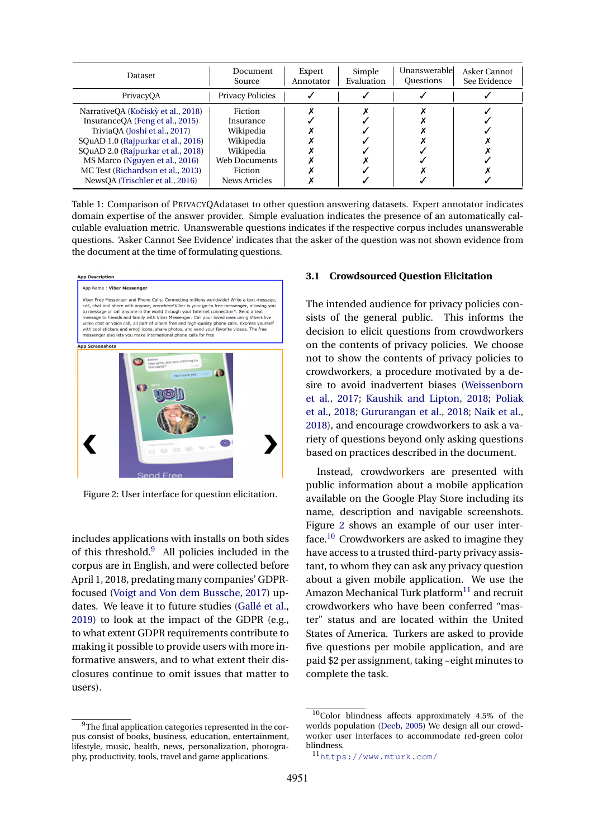<span id="page-2-0"></span>

| Dataset                                                                                                                                                                                                                                                    | Document<br>Source                                                                             | Expert<br>Annotator | Simple<br>Evaluation | Unanswerable<br><b>Ouestions</b> | Asker Cannot<br>See Evidence |
|------------------------------------------------------------------------------------------------------------------------------------------------------------------------------------------------------------------------------------------------------------|------------------------------------------------------------------------------------------------|---------------------|----------------------|----------------------------------|------------------------------|
| PrivacyOA                                                                                                                                                                                                                                                  | <b>Privacy Policies</b>                                                                        |                     |                      |                                  |                              |
| NarrativeQA (Kočiskỳ et al., 2018)<br>Insurance QA (Feng et al., 2015)<br>TriviaOA (Joshi et al., 2017)<br>SQuAD 1.0 (Rajpurkar et al., 2016)<br>SQuAD 2.0 (Rajpurkar et al., 2018)<br>MS Marco (Nguyen et al., 2016)<br>MC Test (Richardson et al., 2013) | <b>Fiction</b><br>Insurance<br>Wikipedia<br>Wikipedia<br>Wikipedia<br>Web Documents<br>Fiction |                     |                      |                                  |                              |
| NewsOA (Trischler et al., 2016)                                                                                                                                                                                                                            | News Articles                                                                                  |                     |                      |                                  |                              |

Table 1: Comparison of PRIVACYQAdataset to other question answering datasets. Expert annotator indicates domain expertise of the answer provider. Simple evaluation indicates the presence of an automatically calculable evaluation metric. Unanswerable questions indicates if the respective corpus includes unanswerable questions. 'Asker Cannot See Evidence' indicates that the asker of the question was not shown evidence from the document at the time of formulating questions.

<span id="page-2-2"></span>

Figure 2: User interface for question elicitation.

includes applications with installs on both sides of this threshold.[9](#page-2-1) All policies included in the corpus are in English, and were collected before April 1, 2018, predating many companies' GDPRfocused [\(Voigt and Von dem Bussche,](#page-10-14) [2017\)](#page-10-14) updates. We leave it to future studies [\(Gallé et al.,](#page-8-10) [2019\)](#page-8-10) to look at the impact of the GDPR (e.g., to what extent GDPR requirements contribute to making it possible to provide users with more informative answers, and to what extent their disclosures continue to omit issues that matter to users).

#### **3.1 Crowdsourced Question Elicitation**

The intended audience for privacy policies consists of the general public. This informs the decision to elicit questions from crowdworkers on the contents of privacy policies. We choose not to show the contents of privacy policies to crowdworkers, a procedure motivated by a desire to avoid inadvertent biases [\(Weissenborn](#page-10-15) [et al.,](#page-10-15) [2017;](#page-10-15) [Kaushik and Lipton,](#page-9-18) [2018;](#page-9-18) [Poliak](#page-10-16) [et al.,](#page-10-16) [2018;](#page-10-16) [Gururangan et al.,](#page-9-19) [2018;](#page-9-19) [Naik et al.,](#page-9-20) [2018\)](#page-9-20), and encourage crowdworkers to ask a variety of questions beyond only asking questions based on practices described in the document.

Instead, crowdworkers are presented with public information about a mobile application available on the Google Play Store including its name, description and navigable screenshots. Figure [2](#page-2-2) shows an example of our user interface.[10](#page-2-3) Crowdworkers are asked to imagine they have access to a trusted third-party privacy assistant, to whom they can ask any privacy question about a given mobile application. We use the Amazon Mechanical Turk platform $11$  and recruit crowdworkers who have been conferred "master" status and are located within the United States of America. Turkers are asked to provide five questions per mobile application, and are paid \$2 per assignment, taking ~eight minutes to complete the task.

<span id="page-2-1"></span><sup>&</sup>lt;sup>9</sup>The final application categories represented in the corpus consist of books, business, education, entertainment, lifestyle, music, health, news, personalization, photography, productivity, tools, travel and game applications.

<span id="page-2-3"></span> $10$ Color blindness affects approximately 4.5% of the worlds population [\(Deeb,](#page-8-11) [2005\)](#page-8-11) We design all our crowdworker user interfaces to accommodate red-green color blindness.

<span id="page-2-4"></span><sup>11</sup><https://www.mturk.com/>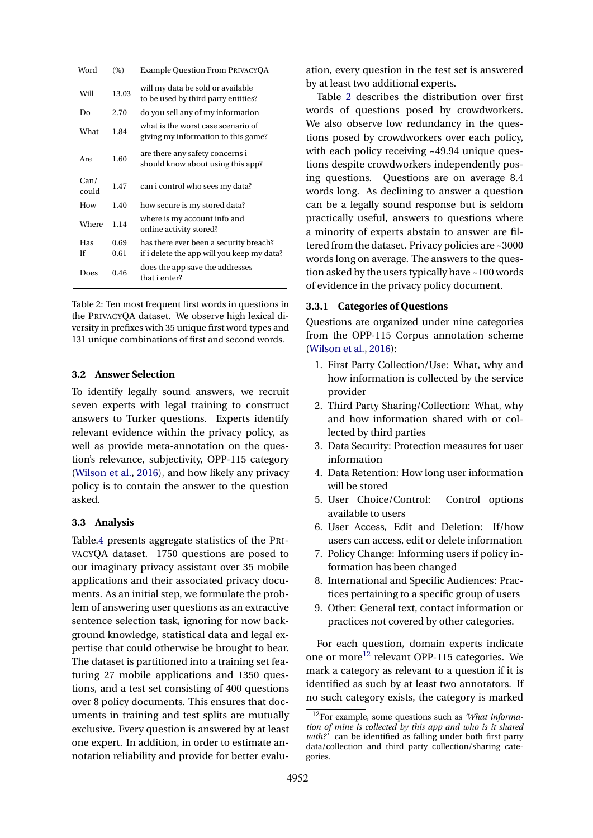<span id="page-3-0"></span>

| Word          | $(\%)$ | Example Question From PRIVACYQA                                           |
|---------------|--------|---------------------------------------------------------------------------|
| Will          | 13.03  | will my data be sold or available<br>to be used by third party entities?  |
| Do            | 2.70   | do you sell any of my information                                         |
| What          | 1.84   | what is the worst case scenario of<br>giving my information to this game? |
| Are           | 1.60   | are there any safety concerns i<br>should know about using this app?      |
| Can/<br>could | 1.47   | can i control who sees my data?                                           |
| How           | 1.40   | how secure is my stored data?                                             |
| Where         | 1.14   | where is my account info and<br>online activity stored?                   |
| Has           | 0.69   | has there ever been a security breach?                                    |
| Ιf            | 0.61   | if i delete the app will you keep my data?                                |
| Does          | 0.46   | does the app save the addresses<br>that i enter?                          |

Table 2: Ten most frequent first words in questions in the PRIVACYQA dataset. We observe high lexical diversity in prefixes with 35 unique first word types and 131 unique combinations of first and second words.

# **3.2 Answer Selection**

To identify legally sound answers, we recruit seven experts with legal training to construct answers to Turker questions. Experts identify relevant evidence within the privacy policy, as well as provide meta-annotation on the question's relevance, subjectivity, OPP-115 category [\(Wilson et al.,](#page-10-17) [2016\)](#page-10-17), and how likely any privacy policy is to contain the answer to the question asked.

## **3.3 Analysis**

Table[.4](#page-4-0) presents aggregate statistics of the PRI-VACYQA dataset. 1750 questions are posed to our imaginary privacy assistant over 35 mobile applications and their associated privacy documents. As an initial step, we formulate the problem of answering user questions as an extractive sentence selection task, ignoring for now background knowledge, statistical data and legal expertise that could otherwise be brought to bear. The dataset is partitioned into a training set featuring 27 mobile applications and 1350 questions, and a test set consisting of 400 questions over 8 policy documents. This ensures that documents in training and test splits are mutually exclusive. Every question is answered by at least one expert. In addition, in order to estimate annotation reliability and provide for better evaluation, every question in the test set is answered by at least two additional experts.

Table [2](#page-3-0) describes the distribution over first words of questions posed by crowdworkers. We also observe low redundancy in the questions posed by crowdworkers over each policy, with each policy receiving ~49.94 unique questions despite crowdworkers independently posing questions. Questions are on average 8.4 words long. As declining to answer a question can be a legally sound response but is seldom practically useful, answers to questions where a minority of experts abstain to answer are filtered from the dataset. Privacy policies are ~3000 words long on average. The answers to the question asked by the users typically have ~100 words of evidence in the privacy policy document.

## **3.3.1 Categories of Questions**

Questions are organized under nine categories from the OPP-115 Corpus annotation scheme [\(Wilson et al.,](#page-10-17) [2016\)](#page-10-17):

- 1. First Party Collection/Use: What, why and how information is collected by the service provider
- 2. Third Party Sharing/Collection: What, why and how information shared with or collected by third parties
- 3. Data Security: Protection measures for user information
- 4. Data Retention: How long user information will be stored
- 5. User Choice/Control: Control options available to users
- 6. User Access, Edit and Deletion: If/how users can access, edit or delete information
- 7. Policy Change: Informing users if policy information has been changed
- 8. International and Specific Audiences: Practices pertaining to a specific group of users
- 9. Other: General text, contact information or practices not covered by other categories.

For each question, domain experts indicate one or more<sup>[12](#page-3-1)</sup> relevant OPP-115 categories. We mark a category as relevant to a question if it is identified as such by at least two annotators. If no such category exists, the category is marked

<span id="page-3-1"></span><sup>12</sup>For example, some questions such as *'What information of mine is collected by this app and who is it shared with?'* can be identified as falling under both first party data/collection and third party collection/sharing categories.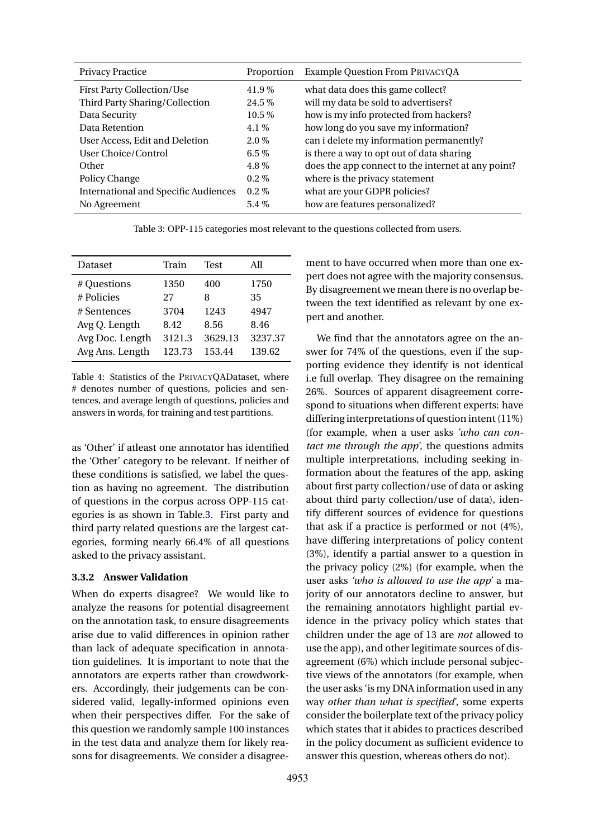<span id="page-4-1"></span>

| <b>Privacy Practice</b>                     | Proportion | <b>Example Question From PRIVACYQA</b>             |
|---------------------------------------------|------------|----------------------------------------------------|
| <b>First Party Collection/Use</b>           | 41.9%      | what data does this game collect?                  |
| Third Party Sharing/Collection              | $24.5\%$   | will my data be sold to advertisers?               |
| Data Security                               | $10.5\%$   | how is my info protected from hackers?             |
| Data Retention                              | 4.1%       | how long do you save my information?               |
| User Access, Edit and Deletion              | $2.0\%$    | can i delete my information permanently?           |
| User Choice/Control                         | 6.5 $%$    | is there a way to opt out of data sharing          |
| Other                                       | 4.8%       | does the app connect to the internet at any point? |
| Policy Change                               | $0.2\%$    | where is the privacy statement                     |
| <b>International and Specific Audiences</b> | $0.2\%$    | what are your GDPR policies?                       |
| No Agreement                                | $5.4\%$    | how are features personalized?                     |

Table 3: OPP-115 categories most relevant to the questions collected from users.

<span id="page-4-0"></span>

| Dataset         | Train  | <b>Test</b> | All     |
|-----------------|--------|-------------|---------|
| # Questions     | 1350   | 400         | 1750    |
| # Policies      | 27     | 8           | 35      |
| # Sentences     | 3704   | 1243        | 4947    |
| Avg Q. Length   | 8.42   | 8.56        | 8.46    |
| Avg Doc. Length | 3121.3 | 3629.13     | 3237.37 |
| Avg Ans. Length | 123.73 | 153.44      | 139.62  |

Table 4: Statistics of the PRIVACYQADataset, where # denotes number of questions, policies and sentences, and average length of questions, policies and answers in words, for training and test partitions.

as 'Other' if atleast one annotator has identified the 'Other' category to be relevant. If neither of these conditions is satisfied, we label the question as having no agreement. The distribution of questions in the corpus across OPP-115 categories is as shown in Table[.3.](#page-4-1) First party and third party related questions are the largest categories, forming nearly 66.4% of all questions asked to the privacy assistant.

## **3.3.2 Answer Validation**

When do experts disagree? We would like to analyze the reasons for potential disagreement on the annotation task, to ensure disagreements arise due to valid differences in opinion rather than lack of adequate specification in annotation guidelines. It is important to note that the annotators are experts rather than crowdworkers. Accordingly, their judgements can be considered valid, legally-informed opinions even when their perspectives differ. For the sake of this question we randomly sample 100 instances in the test data and analyze them for likely reasons for disagreements. We consider a disagree-

ment to have occurred when more than one expert does not agree with the majority consensus. By disagreement we mean there is no overlap between the text identified as relevant by one expert and another.

We find that the annotators agree on the answer for 74% of the questions, even if the supporting evidence they identify is not identical i.e full overlap. They disagree on the remaining 26%. Sources of apparent disagreement correspond to situations when different experts: have differing interpretations of question intent (11%) (for example, when a user asks *'who can contact me through the app'*, the questions admits multiple interpretations, including seeking information about the features of the app, asking about first party collection/use of data or asking about third party collection/use of data), identify different sources of evidence for questions that ask if a practice is performed or not (4%), have differing interpretations of policy content (3%), identify a partial answer to a question in the privacy policy (2%) (for example, when the user asks *'who is allowed to use the app'* a majority of our annotators decline to answer, but the remaining annotators highlight partial evidence in the privacy policy which states that children under the age of 13 are *not* allowed to use the app), and other legitimate sources of disagreement (6%) which include personal subjective views of the annotators (for example, when the user asks 'is my DNA information used in any way *other than what is specified*', some experts consider the boilerplate text of the privacy policy which states that it abides to practices described in the policy document as sufficient evidence to answer this question, whereas others do not).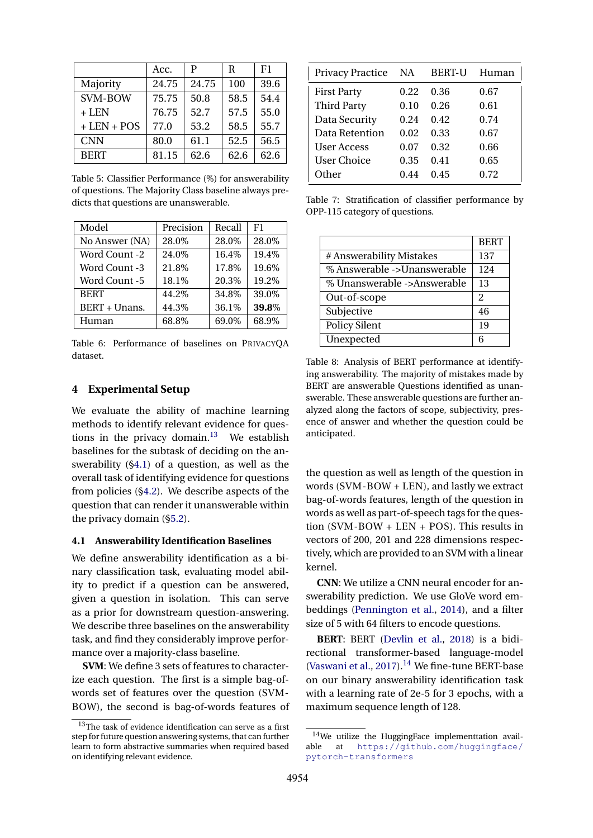<span id="page-5-3"></span>

|                 | Acc.  | P     | R    | F1   |
|-----------------|-------|-------|------|------|
| Majority        | 24.75 | 24.75 | 100  | 39.6 |
| <b>SVM-BOW</b>  | 75.75 | 50.8  | 58.5 | 54.4 |
| $+$ LEN         | 76.75 | 52.7  | 57.5 | 55.0 |
| $+$ LEN $+$ POS | 77.0  | 53.2  | 58.5 | 55.7 |
| <b>CNN</b>      | 80.0  | 61.1  | 52.5 | 56.5 |
| <b>BERT</b>     | 81.15 | 62.6  | 62.6 | 62.6 |

Table 5: Classifier Performance (%) for answerability of questions. The Majority Class baseline always predicts that questions are unanswerable.

<span id="page-5-4"></span>

| Model          | Precision | Recall | F1    |
|----------------|-----------|--------|-------|
| No Answer (NA) | 28.0%     | 28.0%  | 28.0% |
| Word Count -2  | 24.0%     | 16.4%  | 19.4% |
| Word Count -3  | 21.8%     | 17.8%  | 19.6% |
| Word Count -5  | 18.1%     | 20.3%  | 19.2% |
| <b>BERT</b>    | 44.2%     | 34.8%  | 39.0% |
| BERT + Unans.  | 44.3%     | 36.1%  | 39.8% |
| Human          | 68.8%     | 69.0%  | 68.9% |

Table 6: Performance of baselines on PRIVACYQA dataset.

# **4 Experimental Setup**

We evaluate the ability of machine learning methods to identify relevant evidence for questions in the privacy domain. $13$  We establish baselines for the subtask of deciding on the answerability ([§4.1\)](#page-5-1) of a question, as well as the overall task of identifying evidence for questions from policies ([§4.2\)](#page-6-0). We describe aspects of the question that can render it unanswerable within the privacy domain ([§5.2\)](#page-7-0).

#### <span id="page-5-1"></span>**4.1 Answerability Identification Baselines**

We define answerability identification as a binary classification task, evaluating model ability to predict if a question can be answered, given a question in isolation. This can serve as a prior for downstream question-answering. We describe three baselines on the answerability task, and find they considerably improve performance over a majority-class baseline.

**SVM**: We define 3 sets of features to characterize each question. The first is a simple bag-ofwords set of features over the question (SVM-BOW), the second is bag-of-words features of

<span id="page-5-5"></span>

| <b>Privacy Practice</b> | NA   | <b>BERT-U</b> | Human |
|-------------------------|------|---------------|-------|
| <b>First Party</b>      | 0.22 | 0.36          | 0.67  |
| <b>Third Party</b>      | 0.10 | 0.26          | 0.61  |
| Data Security           | 0.24 | 0.42          | 0.74  |
| Data Retention          | 0.02 | 0.33          | 0.67  |
| User Access             | 0.07 | 0.32          | 0.66  |
| <b>User Choice</b>      | 0.35 | 0.41          | 0.65  |
| Other                   | 0.44 | 0.45          | 0.72  |

Table 7: Stratification of classifier performance by OPP-115 category of questions.

|                             | <b>BERT</b> |
|-----------------------------|-------------|
| # Answerability Mistakes    | 137         |
| % Answerable ->Unanswerable | 124         |
| % Unanswerable ->Answerable | 13          |
| Out-of-scope                | 2           |
| Subjective                  | 46          |
| <b>Policy Silent</b>        | 19          |
| Unexpected                  | 6           |

Table 8: Analysis of BERT performance at identifying answerability. The majority of mistakes made by BERT are answerable Questions identified as unanswerable. These answerable questions are further analyzed along the factors of scope, subjectivity, presence of answer and whether the question could be anticipated.

the question as well as length of the question in words (SVM-BOW + LEN), and lastly we extract bag-of-words features, length of the question in words as well as part-of-speech tags for the question (SVM-BOW + LEN + POS). This results in vectors of 200, 201 and 228 dimensions respectively, which are provided to an SVM with a linear kernel.

**CNN**: We utilize a CNN neural encoder for answerability prediction. We use GloVe word embeddings [\(Pennington et al.,](#page-10-18) [2014\)](#page-10-18), and a filter size of 5 with 64 filters to encode questions.

**BERT**: BERT [\(Devlin et al.,](#page-8-12) [2018\)](#page-8-12) is a bidirectional transformer-based language-model [\(Vaswani et al.,](#page-10-19) [2017\)](#page-10-19). $^{14}$  $^{14}$  $^{14}$  We fine-tune BERT-base on our binary answerability identification task with a learning rate of 2e-5 for 3 epochs, with a maximum sequence length of 128.

<span id="page-5-0"></span><sup>&</sup>lt;sup>13</sup>The task of evidence identification can serve as a first step for future question answering systems, that can further learn to form abstractive summaries when required based on identifying relevant evidence.

<span id="page-5-2"></span><sup>14</sup>We utilize the HuggingFace implementtation available at [https://github.com/huggingface/](https://github.com/huggingface/pytorch-transformers) [pytorch-transformers](https://github.com/huggingface/pytorch-transformers)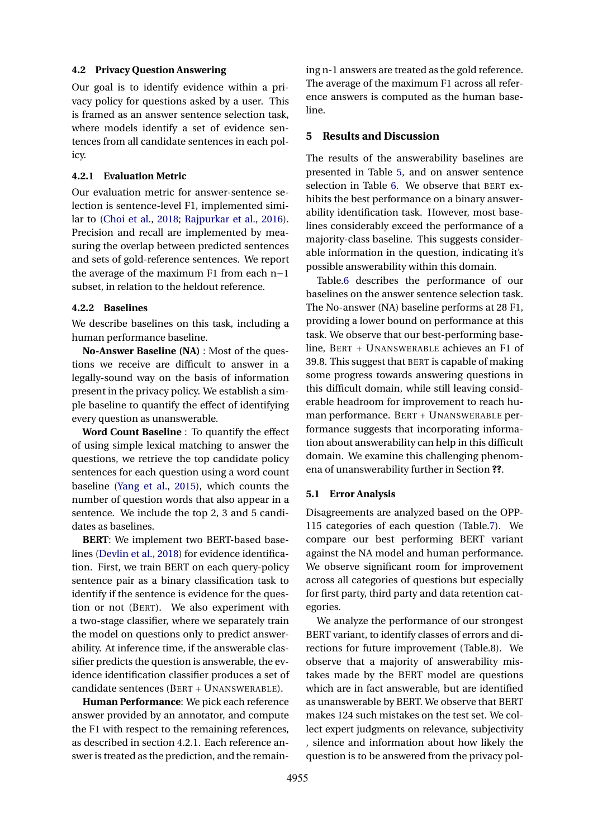## <span id="page-6-0"></span>**4.2 Privacy Question Answering**

Our goal is to identify evidence within a privacy policy for questions asked by a user. This is framed as an answer sentence selection task, where models identify a set of evidence sentences from all candidate sentences in each policy.

### **4.2.1 Evaluation Metric**

Our evaluation metric for answer-sentence selection is sentence-level F1, implemented similar to [\(Choi et al.,](#page-8-6) [2018;](#page-8-6) [Rajpurkar et al.,](#page-10-6) [2016\)](#page-10-6). Precision and recall are implemented by measuring the overlap between predicted sentences and sets of gold-reference sentences. We report the average of the maximum F1 from each n−1 subset, in relation to the heldout reference.

#### **4.2.2 Baselines**

We describe baselines on this task, including a human performance baseline.

**No-Answer Baseline (NA)** : Most of the questions we receive are difficult to answer in a legally-sound way on the basis of information present in the privacy policy. We establish a simple baseline to quantify the effect of identifying every question as unanswerable.

**Word Count Baseline** : To quantify the effect of using simple lexical matching to answer the questions, we retrieve the top candidate policy sentences for each question using a word count baseline [\(Yang et al.,](#page-10-20) [2015\)](#page-10-20), which counts the number of question words that also appear in a sentence. We include the top 2, 3 and 5 candidates as baselines.

**BERT**: We implement two BERT-based baselines [\(Devlin et al.,](#page-8-12) [2018\)](#page-8-12) for evidence identification. First, we train BERT on each query-policy sentence pair as a binary classification task to identify if the sentence is evidence for the question or not (BERT). We also experiment with a two-stage classifier, where we separately train the model on questions only to predict answerability. At inference time, if the answerable classifier predicts the question is answerable, the evidence identification classifier produces a set of candidate sentences (BERT + UNANSWERABLE).

**Human Performance**: We pick each reference answer provided by an annotator, and compute the F1 with respect to the remaining references, as described in section 4.2.1. Each reference answer is treated as the prediction, and the remain-

ing n-1 answers are treated as the gold reference. The average of the maximum F1 across all reference answers is computed as the human baseline.

# **5 Results and Discussion**

The results of the answerability baselines are presented in Table [5,](#page-5-3) and on answer sentence selection in Table [6.](#page-5-4) We observe that BERT exhibits the best performance on a binary answerability identification task. However, most baselines considerably exceed the performance of a majority-class baseline. This suggests considerable information in the question, indicating it's possible answerability within this domain.

Table[.6](#page-5-4) describes the performance of our baselines on the answer sentence selection task. The No-answer (NA) baseline performs at 28 F1, providing a lower bound on performance at this task. We observe that our best-performing baseline, BERT + UNANSWERABLE achieves an F1 of 39.8. This suggest that BERT is capable of making some progress towards answering questions in this difficult domain, while still leaving considerable headroom for improvement to reach human performance. BERT + UNANSWERABLE performance suggests that incorporating information about answerability can help in this difficult domain. We examine this challenging phenomena of unanswerability further in Section **??**.

#### **5.1 Error Analysis**

Disagreements are analyzed based on the OPP-115 categories of each question (Table[.7\)](#page-5-5). We compare our best performing BERT variant against the NA model and human performance. We observe significant room for improvement across all categories of questions but especially for first party, third party and data retention categories.

We analyze the performance of our strongest BERT variant, to identify classes of errors and directions for future improvement (Table.8). We observe that a majority of answerability mistakes made by the BERT model are questions which are in fact answerable, but are identified as unanswerable by BERT. We observe that BERT makes 124 such mistakes on the test set. We collect expert judgments on relevance, subjectivity , silence and information about how likely the question is to be answered from the privacy pol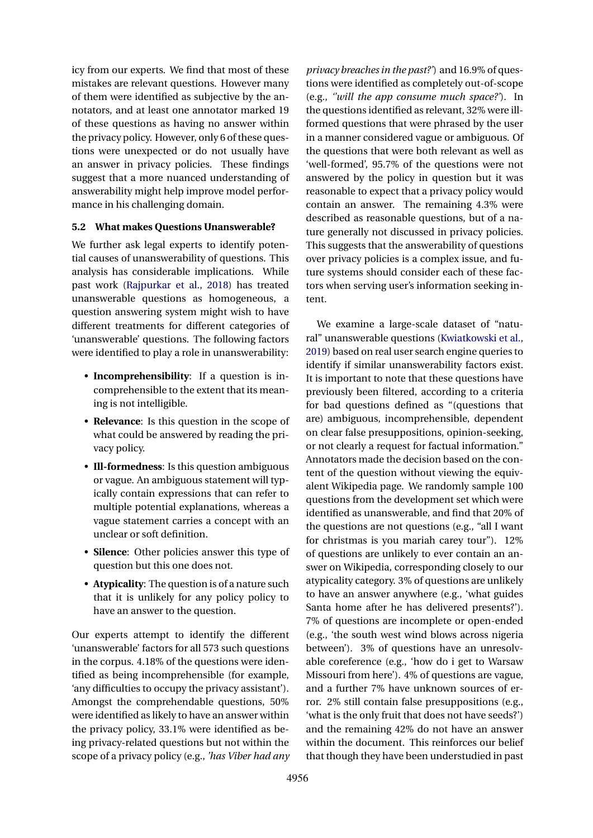icy from our experts. We find that most of these mistakes are relevant questions. However many of them were identified as subjective by the annotators, and at least one annotator marked 19 of these questions as having no answer within the privacy policy. However, only 6 of these questions were unexpected or do not usually have an answer in privacy policies. These findings suggest that a more nuanced understanding of answerability might help improve model performance in his challenging domain.

## <span id="page-7-0"></span>**5.2 What makes Questions Unanswerable?**

We further ask legal experts to identify potential causes of unanswerability of questions. This analysis has considerable implications. While past work [\(Rajpurkar et al.,](#page-10-7) [2018\)](#page-10-7) has treated unanswerable questions as homogeneous, a question answering system might wish to have different treatments for different categories of 'unanswerable' questions. The following factors were identified to play a role in unanswerability:

- **Incomprehensibility**: If a question is incomprehensible to the extent that its meaning is not intelligible.
- **Relevance**: Is this question in the scope of what could be answered by reading the privacy policy.
- **Ill-formedness**: Is this question ambiguous or vague. An ambiguous statement will typically contain expressions that can refer to multiple potential explanations, whereas a vague statement carries a concept with an unclear or soft definition.
- **Silence**: Other policies answer this type of question but this one does not.
- **Atypicality**: The question is of a nature such that it is unlikely for any policy policy to have an answer to the question.

Our experts attempt to identify the different 'unanswerable' factors for all 573 such questions in the corpus. 4.18% of the questions were identified as being incomprehensible (for example, 'any difficulties to occupy the privacy assistant'). Amongst the comprehendable questions, 50% were identified as likely to have an answer within the privacy policy, 33.1% were identified as being privacy-related questions but not within the scope of a privacy policy (e.g., *'has Viber had any*

*privacy breaches in the past?'*) and 16.9% of questions were identified as completely out-of-scope (e.g., *''will the app consume much space?'*). In the questions identified as relevant, 32% were illformed questions that were phrased by the user in a manner considered vague or ambiguous. Of the questions that were both relevant as well as 'well-formed', 95.7% of the questions were not answered by the policy in question but it was reasonable to expect that a privacy policy would contain an answer. The remaining 4.3% were described as reasonable questions, but of a nature generally not discussed in privacy policies. This suggests that the answerability of questions over privacy policies is a complex issue, and future systems should consider each of these factors when serving user's information seeking intent.

We examine a large-scale dataset of "natural" unanswerable questions [\(Kwiatkowski et al.,](#page-9-21) [2019\)](#page-9-21) based on real user search engine queries to identify if similar unanswerability factors exist. It is important to note that these questions have previously been filtered, according to a criteria for bad questions defined as "(questions that are) ambiguous, incomprehensible, dependent on clear false presuppositions, opinion-seeking, or not clearly a request for factual information." Annotators made the decision based on the content of the question without viewing the equivalent Wikipedia page. We randomly sample 100 questions from the development set which were identified as unanswerable, and find that 20% of the questions are not questions (e.g., "all I want for christmas is you mariah carey tour"). 12% of questions are unlikely to ever contain an answer on Wikipedia, corresponding closely to our atypicality category. 3% of questions are unlikely to have an answer anywhere (e.g., 'what guides Santa home after he has delivered presents?'). 7% of questions are incomplete or open-ended (e.g., 'the south west wind blows across nigeria between'). 3% of questions have an unresolvable coreference (e.g., 'how do i get to Warsaw Missouri from here'). 4% of questions are vague, and a further 7% have unknown sources of error. 2% still contain false presuppositions (e.g., 'what is the only fruit that does not have seeds?') and the remaining 42% do not have an answer within the document. This reinforces our belief that though they have been understudied in past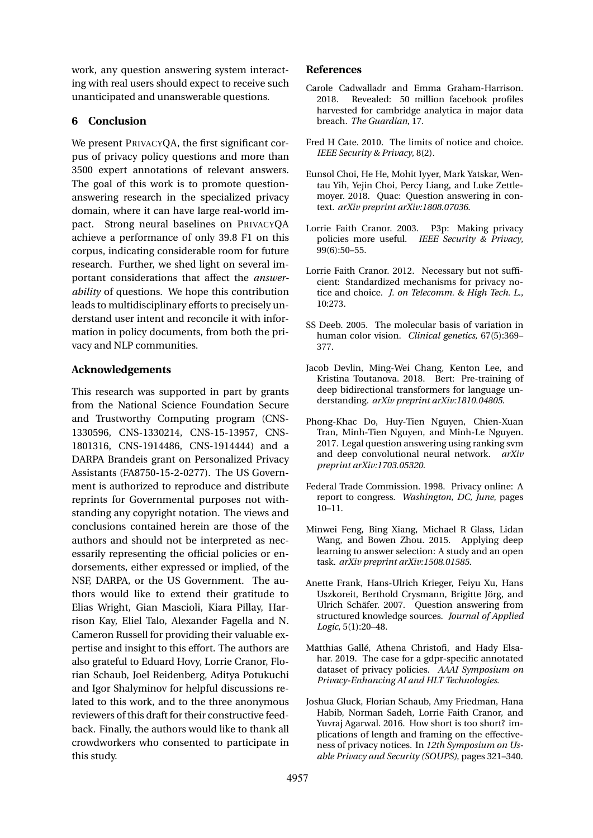work, any question answering system interacting with real users should expect to receive such unanticipated and unanswerable questions.

# **6 Conclusion**

We present PRIVACYQA, the first significant corpus of privacy policy questions and more than 3500 expert annotations of relevant answers. The goal of this work is to promote questionanswering research in the specialized privacy domain, where it can have large real-world impact. Strong neural baselines on PRIVACYQA achieve a performance of only 39.8 F1 on this corpus, indicating considerable room for future research. Further, we shed light on several important considerations that affect the *answerability* of questions. We hope this contribution leads to multidisciplinary efforts to precisely understand user intent and reconcile it with information in policy documents, from both the privacy and NLP communities.

# **Acknowledgements**

This research was supported in part by grants from the National Science Foundation Secure and Trustworthy Computing program (CNS-1330596, CNS-1330214, CNS-15-13957, CNS-1801316, CNS-1914486, CNS-1914444) and a DARPA Brandeis grant on Personalized Privacy Assistants (FA8750-15-2-0277). The US Government is authorized to reproduce and distribute reprints for Governmental purposes not withstanding any copyright notation. The views and conclusions contained herein are those of the authors and should not be interpreted as necessarily representing the official policies or endorsements, either expressed or implied, of the NSF, DARPA, or the US Government. The authors would like to extend their gratitude to Elias Wright, Gian Mascioli, Kiara Pillay, Harrison Kay, Eliel Talo, Alexander Fagella and N. Cameron Russell for providing their valuable expertise and insight to this effort. The authors are also grateful to Eduard Hovy, Lorrie Cranor, Florian Schaub, Joel Reidenberg, Aditya Potukuchi and Igor Shalyminov for helpful discussions related to this work, and to the three anonymous reviewers of this draft for their constructive feedback. Finally, the authors would like to thank all crowdworkers who consented to participate in this study.

# **References**

- <span id="page-8-4"></span>Carole Cadwalladr and Emma Graham-Harrison. 2018. Revealed: 50 million facebook profiles harvested for cambridge analytica in major data breach. *The Guardian*, 17.
- <span id="page-8-1"></span>Fred H Cate. 2010. The limits of notice and choice. *IEEE Security & Privacy*, 8(2).
- <span id="page-8-6"></span>Eunsol Choi, He He, Mohit Iyyer, Mark Yatskar, Wentau Yih, Yejin Choi, Percy Liang, and Luke Zettlemoyer. 2018. Quac: Question answering in context. *arXiv preprint arXiv:1808.07036*.
- <span id="page-8-5"></span>Lorrie Faith Cranor. 2003. P3p: Making privacy policies more useful. *IEEE Security & Privacy*, 99(6):50–55.
- <span id="page-8-2"></span>Lorrie Faith Cranor. 2012. Necessary but not sufficient: Standardized mechanisms for privacy notice and choice. *J. on Telecomm. & High Tech. L.*, 10:273.
- <span id="page-8-11"></span>SS Deeb. 2005. The molecular basis of variation in human color vision. *Clinical genetics*, 67(5):369– 377.
- <span id="page-8-12"></span>Jacob Devlin, Ming-Wei Chang, Kenton Lee, and Kristina Toutanova. 2018. Bert: Pre-training of deep bidirectional transformers for language understanding. *arXiv preprint arXiv:1810.04805*.
- <span id="page-8-7"></span>Phong-Khac Do, Huy-Tien Nguyen, Chien-Xuan Tran, Minh-Tien Nguyen, and Minh-Le Nguyen. 2017. Legal question answering using ranking svm and deep convolutional neural network. *arXiv preprint arXiv:1703.05320*.
- <span id="page-8-0"></span>Federal Trade Commission. 1998. Privacy online: A report to congress. *Washington, DC, June*, pages 10–11.
- <span id="page-8-9"></span>Minwei Feng, Bing Xiang, Michael R Glass, Lidan Wang, and Bowen Zhou. 2015. Applying deep learning to answer selection: A study and an open task. *arXiv preprint arXiv:1508.01585*.
- <span id="page-8-8"></span>Anette Frank, Hans-Ulrich Krieger, Feiyu Xu, Hans Uszkoreit, Berthold Crysmann, Brigitte Jörg, and Ulrich Schäfer. 2007. Question answering from structured knowledge sources. *Journal of Applied Logic*, 5(1):20–48.
- <span id="page-8-10"></span>Matthias Gallé, Athena Christofi, and Hady Elsahar. 2019. The case for a gdpr-specific annotated dataset of privacy policies. *AAAI Symposium on Privacy-Enhancing AI and HLT Technologies*.
- <span id="page-8-3"></span>Joshua Gluck, Florian Schaub, Amy Friedman, Hana Habib, Norman Sadeh, Lorrie Faith Cranor, and Yuvraj Agarwal. 2016. How short is too short? implications of length and framing on the effectiveness of privacy notices. In *12th Symposium on Usable Privacy and Security (SOUPS)*, pages 321–340.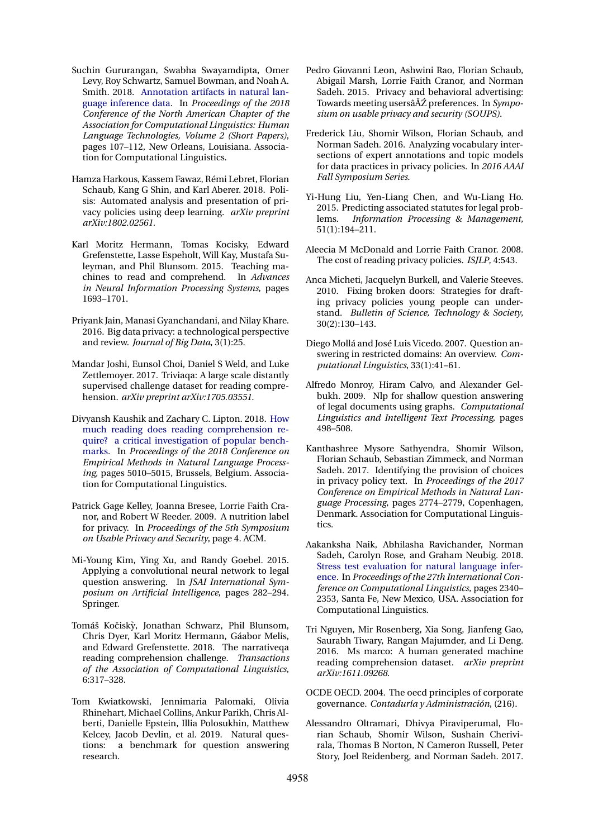- <span id="page-9-19"></span>Suchin Gururangan, Swabha Swayamdipta, Omer Levy, Roy Schwartz, Samuel Bowman, and Noah A. Smith. 2018. [Annotation artifacts in natural lan](https://doi.org/10.18653/v1/N18-2017)[guage inference data.](https://doi.org/10.18653/v1/N18-2017) In *Proceedings of the 2018 Conference of the North American Chapter of the Association for Computational Linguistics: Human Language Technologies, Volume 2 (Short Papers)*, pages 107–112, New Orleans, Louisiana. Association for Computational Linguistics.
- <span id="page-9-9"></span>Hamza Harkous, Kassem Fawaz, Rémi Lebret, Florian Schaub, Kang G Shin, and Karl Aberer. 2018. Polisis: Automated analysis and presentation of privacy policies using deep learning. *arXiv preprint arXiv:1802.02561*.
- <span id="page-9-11"></span>Karl Moritz Hermann, Tomas Kocisky, Edward Grefenstette, Lasse Espeholt, Will Kay, Mustafa Suleyman, and Phil Blunsom. 2015. Teaching machines to read and comprehend. In *Advances in Neural Information Processing Systems*, pages 1693–1701.
- <span id="page-9-1"></span>Priyank Jain, Manasi Gyanchandani, and Nilay Khare. 2016. Big data privacy: a technological perspective and review. *Journal of Big Data*, 3(1):25.
- <span id="page-9-10"></span>Mandar Joshi, Eunsol Choi, Daniel S Weld, and Luke Zettlemoyer. 2017. Triviaqa: A large scale distantly supervised challenge dataset for reading comprehension. *arXiv preprint arXiv:1705.03551*.
- <span id="page-9-18"></span>Divyansh Kaushik and Zachary C. Lipton. 2018. [How](https://www.aclweb.org/anthology/D18-1546) [much reading does reading comprehension re](https://www.aclweb.org/anthology/D18-1546)[quire? a critical investigation of popular bench](https://www.aclweb.org/anthology/D18-1546)[marks.](https://www.aclweb.org/anthology/D18-1546) In *Proceedings of the 2018 Conference on Empirical Methods in Natural Language Processing*, pages 5010–5015, Brussels, Belgium. Association for Computational Linguistics.
- <span id="page-9-4"></span>Patrick Gage Kelley, Joanna Bresee, Lorrie Faith Cranor, and Robert W Reeder. 2009. A nutrition label for privacy. In *Proceedings of the 5th Symposium on Usable Privacy and Security*, page 4. ACM.
- <span id="page-9-13"></span>Mi-Young Kim, Ying Xu, and Randy Goebel. 2015. Applying a convolutional neural network to legal question answering. In *JSAI International Symposium on Artificial Intelligence*, pages 282–294. Springer.
- <span id="page-9-16"></span>Tomáš Kočiský, Jonathan Schwarz, Phil Blunsom, Chris Dyer, Karl Moritz Hermann, Gáabor Melis, and Edward Grefenstette. 2018. The narrativeqa reading comprehension challenge. *Transactions of the Association of Computational Linguistics*, 6:317–328.
- <span id="page-9-21"></span>Tom Kwiatkowski, Jennimaria Palomaki, Olivia Rhinehart, Michael Collins, Ankur Parikh, Chris Alberti, Danielle Epstein, Illia Polosukhin, Matthew Kelcey, Jacob Devlin, et al. 2019. Natural questions: a benchmark for question answering research.
- <span id="page-9-3"></span>Pedro Giovanni Leon, Ashwini Rao, Florian Schaub, Abigail Marsh, Lorrie Faith Cranor, and Norman Sadeh. 2015. Privacy and behavioral advertising: Towards meeting usersâ $\tilde{A}Z$  preferences. In *Symposium on usable privacy and security (SOUPS)*.
- <span id="page-9-6"></span>Frederick Liu, Shomir Wilson, Florian Schaub, and Norman Sadeh. 2016. Analyzing vocabulary intersections of expert annotations and topic models for data practices in privacy policies. In *2016 AAAI Fall Symposium Series*.
- <span id="page-9-14"></span>Yi-Hung Liu, Yen-Liang Chen, and Wu-Liang Ho. 2015. Predicting associated statutes for legal problems. *Information Processing & Management*, 51(1):194–211.
- <span id="page-9-2"></span>Aleecia M McDonald and Lorrie Faith Cranor. 2008. The cost of reading privacy policies. *ISJLP*, 4:543.
- <span id="page-9-5"></span>Anca Micheti, Jacquelyn Burkell, and Valerie Steeves. 2010. Fixing broken doors: Strategies for drafting privacy policies young people can understand. *Bulletin of Science, Technology & Society*, 30(2):130–143.
- <span id="page-9-15"></span>Diego Mollá and José Luis Vicedo. 2007. Question answering in restricted domains: An overview. *Computational Linguistics*, 33(1):41–61.
- <span id="page-9-12"></span>Alfredo Monroy, Hiram Calvo, and Alexander Gelbukh. 2009. Nlp for shallow question answering of legal documents using graphs. *Computational Linguistics and Intelligent Text Processing*, pages 498–508.
- <span id="page-9-8"></span>Kanthashree Mysore Sathyendra, Shomir Wilson, Florian Schaub, Sebastian Zimmeck, and Norman Sadeh. 2017. Identifying the provision of choices in privacy policy text. In *Proceedings of the 2017 Conference on Empirical Methods in Natural Language Processing*, pages 2774–2779, Copenhagen, Denmark. Association for Computational Linguistics.
- <span id="page-9-20"></span>Aakanksha Naik, Abhilasha Ravichander, Norman Sadeh, Carolyn Rose, and Graham Neubig. 2018. [Stress test evaluation for natural language infer](https://www.aclweb.org/anthology/C18-1198)[ence.](https://www.aclweb.org/anthology/C18-1198) In *Proceedings of the 27th International Conference on Computational Linguistics*, pages 2340– 2353, Santa Fe, New Mexico, USA. Association for Computational Linguistics.
- <span id="page-9-17"></span>Tri Nguyen, Mir Rosenberg, Xia Song, Jianfeng Gao, Saurabh Tiwary, Rangan Majumder, and Li Deng. 2016. Ms marco: A human generated machine reading comprehension dataset. *arXiv preprint arXiv:1611.09268*.
- <span id="page-9-0"></span>OCDE OECD. 2004. The oecd principles of corporate governance. *Contaduría y Administración*, (216).
- <span id="page-9-7"></span>Alessandro Oltramari, Dhivya Piraviperumal, Florian Schaub, Shomir Wilson, Sushain Cherivirala, Thomas B Norton, N Cameron Russell, Peter Story, Joel Reidenberg, and Norman Sadeh. 2017.